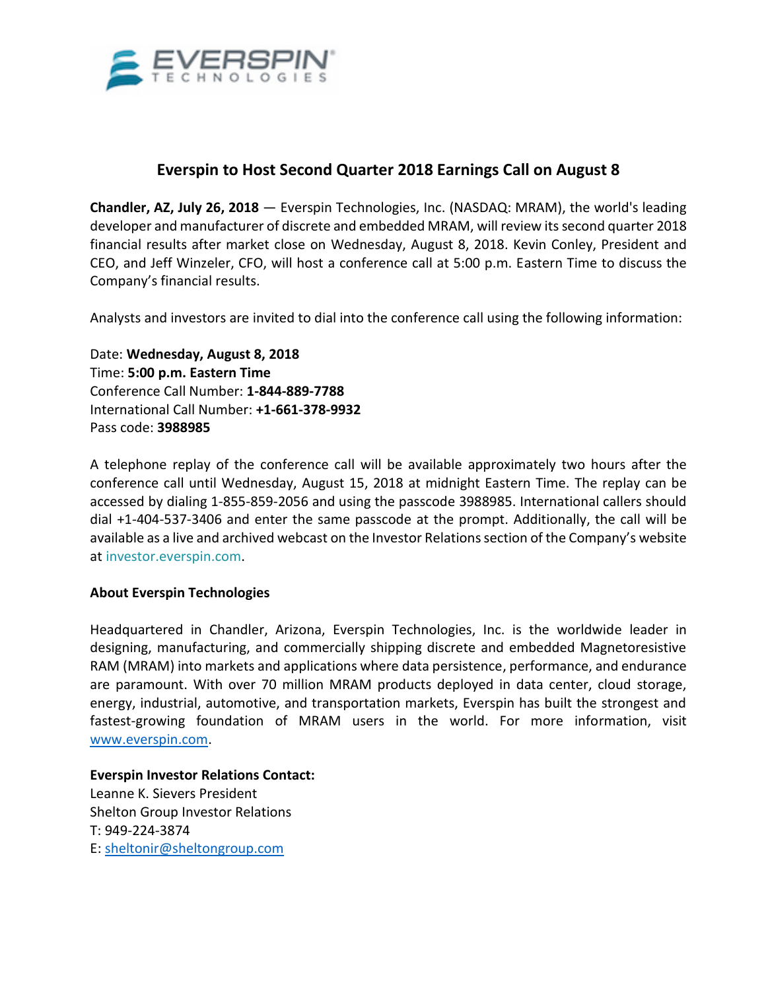

## **Everspin to Host Second Quarter 2018 Earnings Call on August 8**

**Chandler, AZ, July 26, 2018** — Everspin Technologies, Inc. (NASDAQ: MRAM), the world's leading developer and manufacturer of discrete and embedded MRAM, will review its second quarter 2018 financial results after market close on Wednesday, August 8, 2018. Kevin Conley, President and CEO, and Jeff Winzeler, CFO, will host a conference call at 5:00 p.m. Eastern Time to discuss the Company's financial results.

Analysts and investors are invited to dial into the conference call using the following information:

Date: **Wednesday, August 8, 2018** Time: **5:00 p.m. Eastern Time** Conference Call Number: **1-844-889-7788** International Call Number: **+1-661-378-9932** Pass code: **3988985**

A telephone replay of the conference call will be available approximately two hours after the conference call until Wednesday, August 15, 2018 at midnight Eastern Time. The replay can be accessed by dialing 1-855-859-2056 and using the passcode 3988985. International callers should dial +1-404-537-3406 and enter the same passcode at the prompt. Additionally, the call will be available as a live and archived webcast on the Investor Relations section of the Company's website at [investor.everspin.com.](https://www.globenewswire.com/Tracker?data=xERMg-lniKXZwDmCY1eSWmJB14K_1TmMwrtWB4ntB5JGJVGH11wJlZCKbmfjtkK5Caib_E8zGnsG-aPsOa54LqkIzzrgAjzKEwILUyXUc9V1QJXjdM8xxccorTrcMv-c8U5EF14wtxRtsot9LofQzc2kZkObzJi4rvLvF4IRH-4Bykmec-RZgQTNneDtZlZzjNq70RVkraeRYp5hrBOClLnMtjwQnZOebdCy7yAJq_mN3iAWhyLq2L1l6cGEwWXV5803u75iLrAfuzYEIRAcDQ==)

## **About Everspin Technologies**

Headquartered in Chandler, Arizona, Everspin Technologies, Inc. is the worldwide leader in designing, manufacturing, and commercially shipping discrete and embedded Magnetoresistive RAM (MRAM) into markets and applications where data persistence, performance, and endurance are paramount. With over 70 million MRAM products deployed in data center, cloud storage, energy, industrial, automotive, and transportation markets, Everspin has built the strongest and fastest-growing foundation of MRAM users in the world. For more information, visit [www.everspin.com.](http://www.everspin.com/)

**Everspin Investor Relations Contact:** 

Leanne K. Sievers President Shelton Group Investor Relations T: 949-224-3874 E: [sheltonir@sheltongroup.com](https://www.globenewswire.com/Tracker?data=ev7l20X-Cgphj94k4icsyx-4KThee7iku68EzJ0wB_y4hJsqBYibLSCoiqRQjo55maBaE_QAXYHTVhvsOhLLtjLftL-PdYFwmk_VLV7fCIPpWk2ZXV6-Iftq5K6HJHqY)